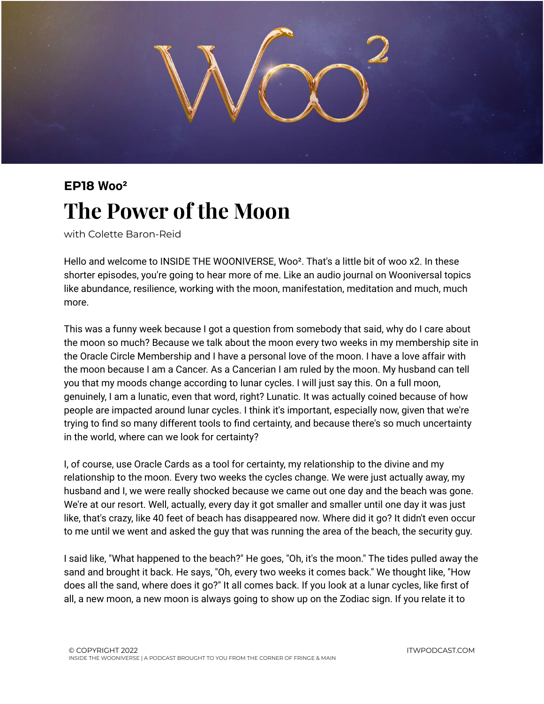

## **EP18 Woo² The Power of the Moon**

with Colette Baron-Reid

Hello and welcome to INSIDE THE WOONIVERSE, Woo². That's a little bit of woo x2. In these shorter episodes, you're going to hear more of me. Like an audio journal on Wooniversal topics like abundance, resilience, working with the moon, manifestation, meditation and much, much more.

This was a funny week because I got a question from somebody that said, why do I care about the moon so much? Because we talk about the moon every two weeks in my membership site in the Oracle Circle Membership and I have a personal love of the moon. I have a love affair with the moon because I am a Cancer. As a Cancerian I am ruled by the moon. My husband can tell you that my moods change according to lunar cycles. I will just say this. On a full moon, genuinely, I am a lunatic, even that word, right? Lunatic. It was actually coined because of how people are impacted around lunar cycles. I think it's important, especially now, given that we're trying to find so many different tools to find certainty, and because there's so much uncertainty in the world, where can we look for certainty?

I, of course, use Oracle Cards as a tool for certainty, my relationship to the divine and my relationship to the moon. Every two weeks the cycles change. We were just actually away, my husband and I, we were really shocked because we came out one day and the beach was gone. We're at our resort. Well, actually, every day it got smaller and smaller until one day it was just like, that's crazy, like 40 feet of beach has disappeared now. Where did it go? It didn't even occur to me until we went and asked the guy that was running the area of the beach, the security guy.

I said like, "What happened to the beach?" He goes, "Oh, it's the moon." The tides pulled away the sand and brought it back. He says, "Oh, every two weeks it comes back." We thought like, "How does all the sand, where does it go?" It all comes back. If you look at a lunar cycles, like first of all, a new moon, a new moon is always going to show up on the Zodiac sign. If you relate it to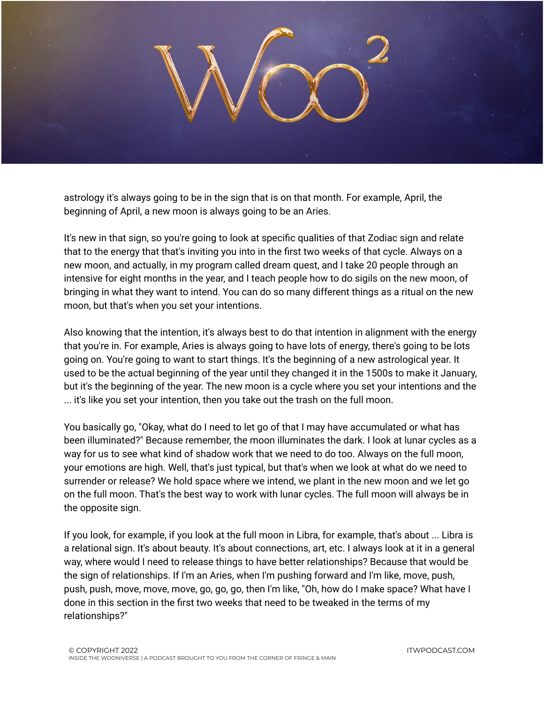

astrology it's always going to be in the sign that is on that month. For example, April, the beginning of April, a new moon is always going to be an Aries.

It's new in that sign, so you're going to look at specific qualities of that Zodiac sign and relate that to the energy that that's inviting you into in the first two weeks of that cycle. Always on a new moon, and actually, in my program called dream quest, and I take 20 people through an intensive for eight months in the year, and I teach people how to do sigils on the new moon, of bringing in what they want to intend. You can do so many different things as a ritual on the new moon, but that's when you set your intentions.

Also knowing that the intention, it's always best to do that intention in alignment with the energy that you're in. For example, Aries is always going to have lots of energy, there's going to be lots going on. You're going to want to start things. It's the beginning of a new astrological year. It used to be the actual beginning of the year until they changed it in the 1500s to make it January, but it's the beginning of the year. The new moon is a cycle where you set your intentions and the ... it's like you set your intention, then you take out the trash on the full moon.

You basically go, "Okay, what do I need to let go of that I may have accumulated or what has been illuminated?" Because remember, the moon illuminates the dark. I look at lunar cycles as a way for us to see what kind of shadow work that we need to do too. Always on the full moon, your emotions are high. Well, that's just typical, but that's when we look at what do we need to surrender or release? We hold space where we intend, we plant in the new moon and we let go on the full moon. That's the best way to work with lunar cycles. The full moon will always be in the opposite sign.

If you look, for example, if you look at the full moon in Libra, for example, that's about ... Libra is a relational sign. It's about beauty. It's about connections, art, etc. I always look at it in a general way, where would I need to release things to have better relationships? Because that would be the sign of relationships. If I'm an Aries, when I'm pushing forward and I'm like, move, push, push, push, move, move, move, go, go, go, then I'm like, "Oh, how do I make space? What have I done in this section in the first two weeks that need to be tweaked in the terms of my relationships?"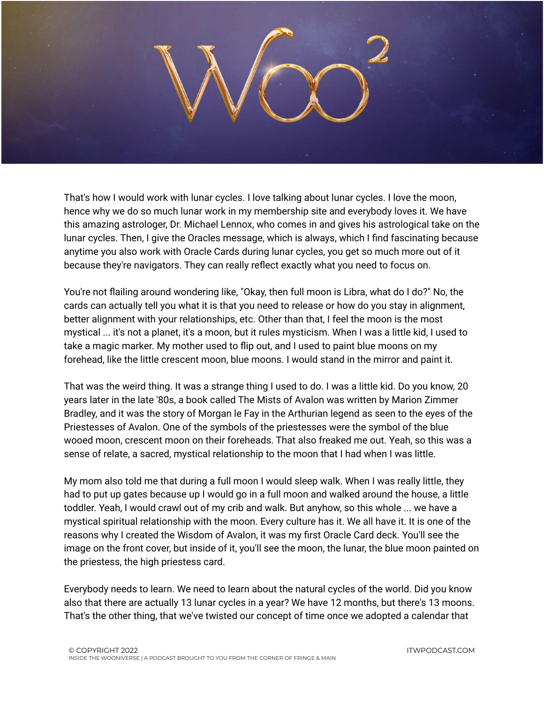

That's how I would work with lunar cycles. I love talking about lunar cycles. I love the moon, hence why we do so much lunar work in my membership site and everybody loves it. We have this amazing astrologer, Dr. Michael Lennox, who comes in and gives his astrological take on the lunar cycles. Then, I give the Oracles message, which is always, which I find fascinating because anytime you also work with Oracle Cards during lunar cycles, you get so much more out of it because they're navigators. They can really reflect exactly what you need to focus on.

You're not flailing around wondering like, "Okay, then full moon is Libra, what do I do?" No, the cards can actually tell you what it is that you need to release or how do you stay in alignment, better alignment with your relationships, etc. Other than that, I feel the moon is the most mystical ... it's not a planet, it's a moon, but it rules mysticism. When I was a little kid, I used to take a magic marker. My mother used to flip out, and I used to paint blue moons on my forehead, like the little crescent moon, blue moons. I would stand in the mirror and paint it.

That was the weird thing. It was a strange thing I used to do. I was a little kid. Do you know, 20 years later in the late '80s, a book called The Mists of Avalon was written by Marion Zimmer Bradley, and it was the story of Morgan le Fay in the Arthurian legend as seen to the eyes of the Priestesses of Avalon. One of the symbols of the priestesses were the symbol of the blue wooed moon, crescent moon on their foreheads. That also freaked me out. Yeah, so this was a sense of relate, a sacred, mystical relationship to the moon that I had when I was little.

My mom also told me that during a full moon I would sleep walk. When I was really little, they had to put up gates because up I would go in a full moon and walked around the house, a little toddler. Yeah, I would crawl out of my crib and walk. But anyhow, so this whole ... we have a mystical spiritual relationship with the moon. Every culture has it. We all have it. It is one of the reasons why I created the Wisdom of Avalon, it was my first Oracle Card deck. You'll see the image on the front cover, but inside of it, you'll see the moon, the lunar, the blue moon painted on the priestess, the high priestess card.

Everybody needs to learn. We need to learn about the natural cycles of the world. Did you know also that there are actually 13 lunar cycles in a year? We have 12 months, but there's 13 moons. That's the other thing, that we've twisted our concept of time once we adopted a calendar that